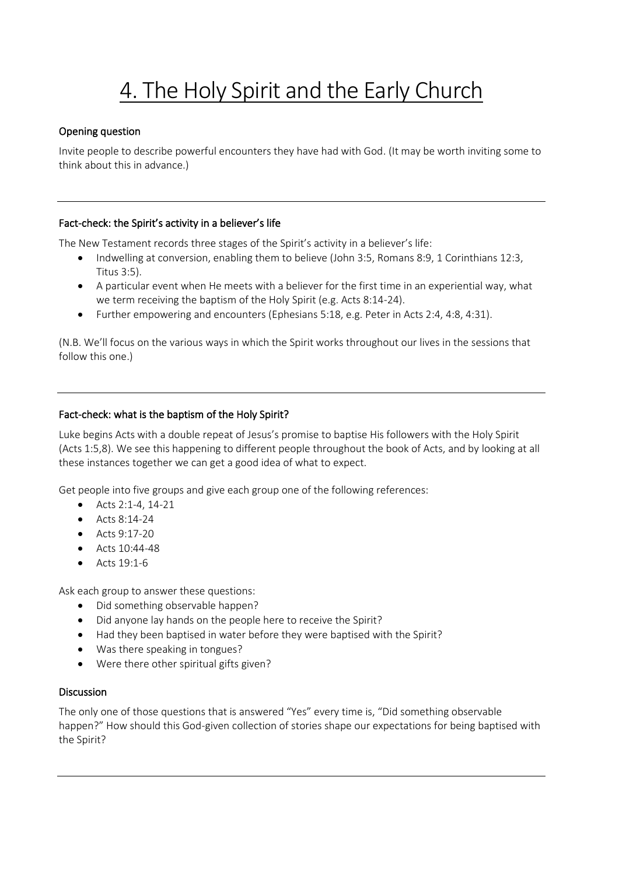# 4. The Holy Spirit and the Early Church

## Opening question

Invite people to describe powerful encounters they have had with God. (It may be worth inviting some to think about this in advance.)

## Fact-check: the Spirit's activity in a believer's life

The New Testament records three stages of the Spirit's activity in a believer's life:

- Indwelling at conversion, enabling them to believe (John 3:5, Romans 8:9, 1 Corinthians 12:3, Titus 3:5).
- A particular event when He meets with a believer for the first time in an experiential way, what we term receiving the baptism of the Holy Spirit (e.g. Acts 8:14-24).
- Further empowering and encounters (Ephesians 5:18, e.g. Peter in Acts 2:4, 4:8, 4:31).

(N.B. We'll focus on the various ways in which the Spirit works throughout our lives in the sessions that follow this one.)

## Fact-check: what is the baptism of the Holy Spirit?

Luke begins Acts with a double repeat of Jesus's promise to baptise His followers with the Holy Spirit (Acts 1:5,8). We see this happening to different people throughout the book of Acts, and by looking at all these instances together we can get a good idea of what to expect.

Get people into five groups and give each group one of the following references:

- Acts 2:1-4, 14-21
- Acts  $8:14-24$
- Acts 9:17-20
- Acts 10:44-48
- Acts 19:1-6

Ask each group to answer these questions:

- Did something observable happen?
- Did anyone lay hands on the people here to receive the Spirit?
- Had they been baptised in water before they were baptised with the Spirit?
- Was there speaking in tongues?
- Were there other spiritual gifts given?

#### Discussion

The only one of those questions that is answered "Yes" every time is, "Did something observable happen?" How should this God-given collection of stories shape our expectations for being baptised with the Spirit?